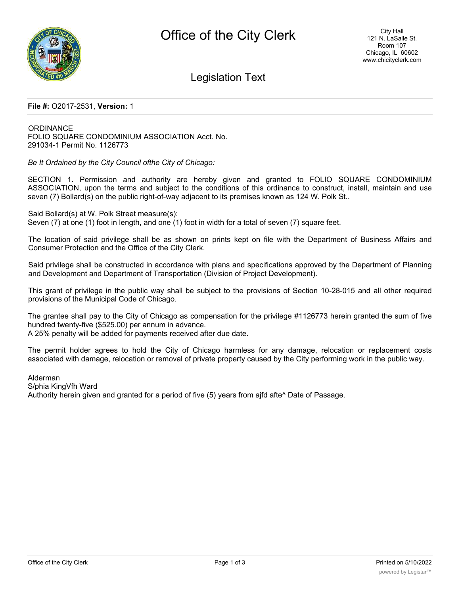

## Legislation Text

## **File #:** O2017-2531, **Version:** 1

**ORDINANCE** FOLIO SQUARE CONDOMINIUM ASSOCIATION Acct. No. 291034-1 Permit No. 1126773

*Be It Ordained by the City Council ofthe City of Chicago:*

SECTION 1. Permission and authority are hereby given and granted to FOLIO SQUARE CONDOMINIUM ASSOCIATION, upon the terms and subject to the conditions of this ordinance to construct, install, maintain and use seven (7) Bollard(s) on the public right-of-way adjacent to its premises known as 124 W. Polk St..

Said Bollard(s) at W. Polk Street measure(s):

Seven (7) at one (1) foot in length, and one (1) foot in width for a total of seven (7) square feet.

The location of said privilege shall be as shown on prints kept on file with the Department of Business Affairs and Consumer Protection and the Office of the City Clerk.

Said privilege shall be constructed in accordance with plans and specifications approved by the Department of Planning and Development and Department of Transportation (Division of Project Development).

This grant of privilege in the public way shall be subject to the provisions of Section 10-28-015 and all other required provisions of the Municipal Code of Chicago.

The grantee shall pay to the City of Chicago as compensation for the privilege #1126773 herein granted the sum of five hundred twenty-five (\$525.00) per annum in advance.

A 25% penalty will be added for payments received after due date.

The permit holder agrees to hold the City of Chicago harmless for any damage, relocation or replacement costs associated with damage, relocation or removal of private property caused by the City performing work in the public way.

Alderman

S/phia KingVfh Ward

Authority herein given and granted for a period of five (5) years from ajfd afte^ Date of Passage.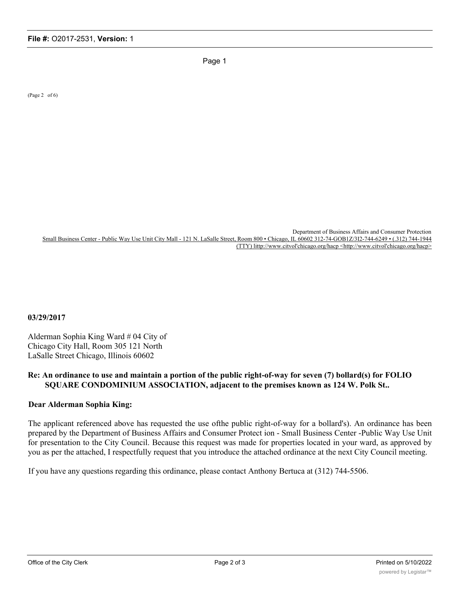Page 1

(Page 2 of 6)

Department of Business Affairs and Consumer Protection Small Business Center - Public Way Use Unit City Mall - 121 N. LaSalle Street, Room 800 • Chicago, IL 60602 312-74-GOB1Z/3I2-744-6249 • (.312) 744-1944 (TTY) littp://www.citvol'chicago.org/hacp <http://www.citvol'chicago.org/hacp>

**03/29/2017**

Alderman Sophia King Ward # 04 City of Chicago City Hall, Room 305 121 North LaSalle Street Chicago, Illinois 60602

## **Re: An ordinance to use and maintain a portion of the public right-of-way for seven (7) bollard(s) for FOLIO SQUARE CONDOMINIUM ASSOCIATION, adjacent to the premises known as 124 W. Polk St..**

## **Dear Alderman Sophia King:**

The applicant referenced above has requested the use ofthe public right-of-way for a bollard's). An ordinance has been prepared by the Department of Business Affairs and Consumer Protect ion - Small Business Center -Public Way Use Unit for presentation to the City Council. Because this request was made for properties located in your ward, as approved by you as per the attached, I respectfully request that you introduce the attached ordinance at the next City Council meeting.

If you have any questions regarding this ordinance, please contact Anthony Bertuca at (312) 744-5506.